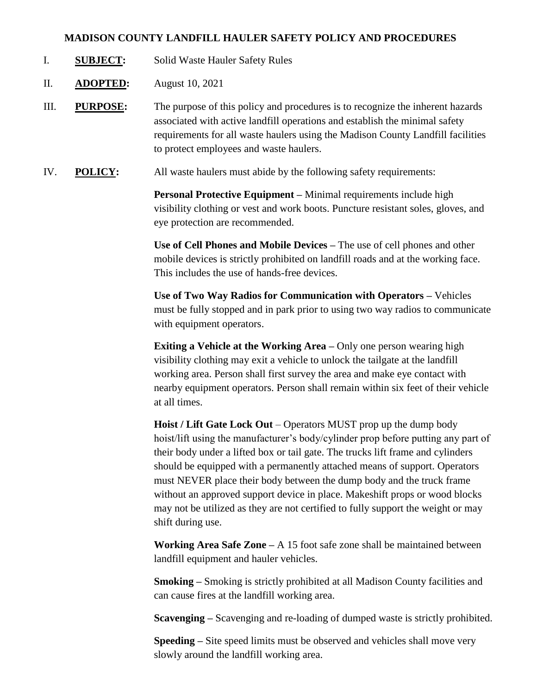## **MADISON COUNTY LANDFILL HAULER SAFETY POLICY AND PROCEDURES**

- I. **SUBJECT:** Solid Waste Hauler Safety Rules
- II. **ADOPTED:** August 10, 2021
- III. **PURPOSE:** The purpose of this policy and procedures is to recognize the inherent hazards associated with active landfill operations and establish the minimal safety requirements for all waste haulers using the Madison County Landfill facilities to protect employees and waste haulers.
- IV. **POLICY:** All waste haulers must abide by the following safety requirements:

**Personal Protective Equipment –** Minimal requirements include high visibility clothing or vest and work boots. Puncture resistant soles, gloves, and eye protection are recommended.

**Use of Cell Phones and Mobile Devices –** The use of cell phones and other mobile devices is strictly prohibited on landfill roads and at the working face. This includes the use of hands-free devices.

**Use of Two Way Radios for Communication with Operators –** Vehicles must be fully stopped and in park prior to using two way radios to communicate with equipment operators.

**Exiting a Vehicle at the Working Area –** Only one person wearing high visibility clothing may exit a vehicle to unlock the tailgate at the landfill working area. Person shall first survey the area and make eye contact with nearby equipment operators. Person shall remain within six feet of their vehicle at all times.

**Hoist / Lift Gate Lock Out** – Operators MUST prop up the dump body hoist/lift using the manufacturer's body/cylinder prop before putting any part of their body under a lifted box or tail gate. The trucks lift frame and cylinders should be equipped with a permanently attached means of support. Operators must NEVER place their body between the dump body and the truck frame without an approved support device in place. Makeshift props or wood blocks may not be utilized as they are not certified to fully support the weight or may shift during use.

**Working Area Safe Zone –** A 15 foot safe zone shall be maintained between landfill equipment and hauler vehicles.

**Smoking –** Smoking is strictly prohibited at all Madison County facilities and can cause fires at the landfill working area.

**Scavenging –** Scavenging and re-loading of dumped waste is strictly prohibited.

**Speeding –** Site speed limits must be observed and vehicles shall move very slowly around the landfill working area.